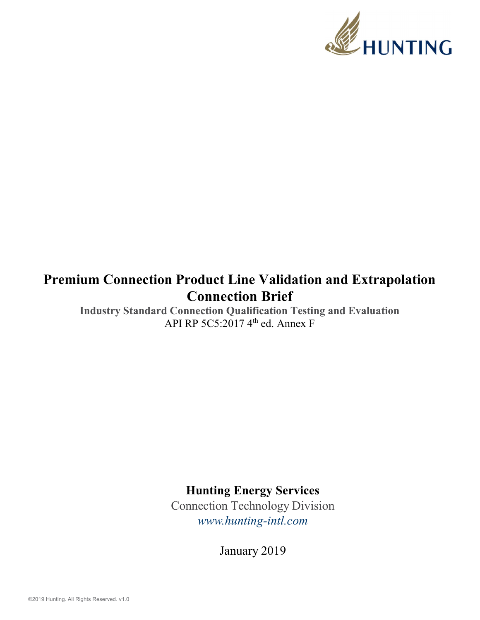

## Premium Connection Product Line Validation and Extrapolation Connection Brief

Industry Standard Connection Qualification Testing and Evaluation API RP 5C5:2017  $4^{\text{th}}$  ed. Annex F

Hunting Energy Services

Connection Technology Division www.hunting-intl.com

January 2019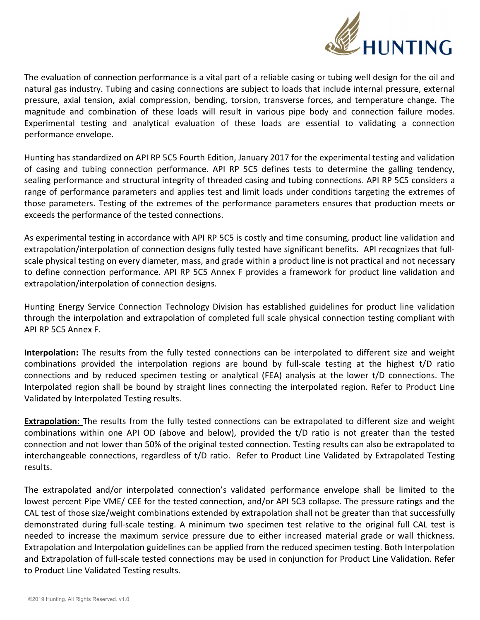

The evaluation of connection performance is a vital part of a reliable casing or tubing well design for the oil and natural gas industry. Tubing and casing connections are subject to loads that include internal pressure, external pressure, axial tension, axial compression, bending, torsion, transverse forces, and temperature change. The magnitude and combination of these loads will result in various pipe body and connection failure modes. Experimental testing and analytical evaluation of these loads are essential to validating a connection performance envelope.

Hunting has standardized on API RP 5C5 Fourth Edition, January 2017 for the experimental testing and validation of casing and tubing connection performance. API RP 5C5 defines tests to determine the galling tendency, sealing performance and structural integrity of threaded casing and tubing connections. API RP 5C5 considers a range of performance parameters and applies test and limit loads under conditions targeting the extremes of those parameters. Testing of the extremes of the performance parameters ensures that production meets or exceeds the performance of the tested connections.

As experimental testing in accordance with API RP 5C5 is costly and time consuming, product line validation and extrapolation/interpolation of connection designs fully tested have significant benefits. API recognizes that fullscale physical testing on every diameter, mass, and grade within a product line is not practical and not necessary to define connection performance. API RP 5C5 Annex F provides a framework for product line validation and extrapolation/interpolation of connection designs.

Hunting Energy Service Connection Technology Division has established guidelines for product line validation through the interpolation and extrapolation of completed full scale physical connection testing compliant with API RP 5C5 Annex F.

Interpolation: The results from the fully tested connections can be interpolated to different size and weight combinations provided the interpolation regions are bound by full-scale testing at the highest t/D ratio connections and by reduced specimen testing or analytical (FEA) analysis at the lower t/D connections. The Interpolated region shall be bound by straight lines connecting the interpolated region. Refer to Product Line Validated by Interpolated Testing results.

**Extrapolation:** The results from the fully tested connections can be extrapolated to different size and weight combinations within one API OD (above and below), provided the t/D ratio is not greater than the tested connection and not lower than 50% of the original tested connection. Testing results can also be extrapolated to interchangeable connections, regardless of t/D ratio. Refer to Product Line Validated by Extrapolated Testing results.

The extrapolated and/or interpolated connection's validated performance envelope shall be limited to the lowest percent Pipe VME/ CEE for the tested connection, and/or API 5C3 collapse. The pressure ratings and the CAL test of those size/weight combinations extended by extrapolation shall not be greater than that successfully demonstrated during full-scale testing. A minimum two specimen test relative to the original full CAL test is needed to increase the maximum service pressure due to either increased material grade or wall thickness. Extrapolation and Interpolation guidelines can be applied from the reduced specimen testing. Both Interpolation and Extrapolation of full-scale tested connections may be used in conjunction for Product Line Validation. Refer to Product Line Validated Testing results.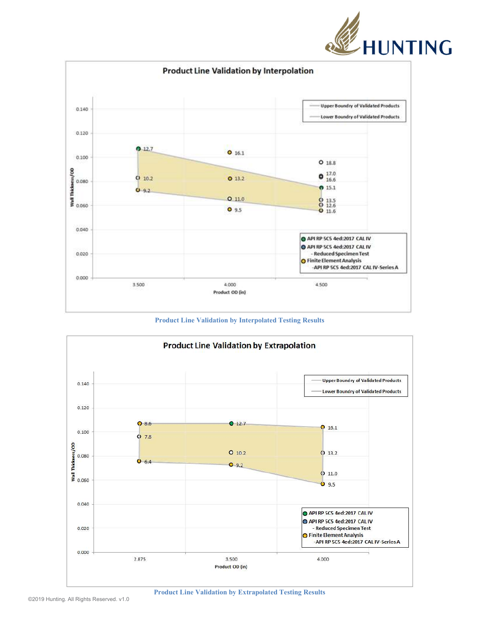



Product Line Validation by Interpolated Testing Results



Product Line Validation by Extrapolated Testing Results